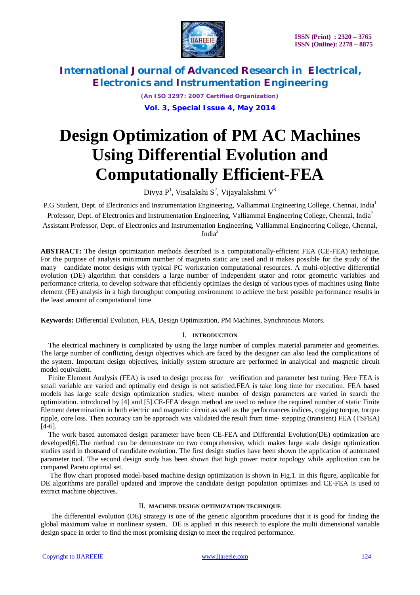

*(An ISO 3297: 2007 Certified Organization)* **Vol. 3, Special Issue 4, May 2014**

# **Design Optimization of PM AC Machines Using Differential Evolution and Computationally Efficient-FEA**

Divya P $^1$ , Visalakshi  $\text{S}^2$ , Vijayalakshmi  $\text{V}^3$ 

P.G Student, Dept. of Electronics and Instrumentation Engineering, Valliammai Engineering College, Chennai, India<sup>1</sup> Professor, Dept. of Electronics and Instrumentation Engineering, Valliammai Engineering College, Chennai, India<sup>2</sup> Assistant Professor, Dept. of Electronics and Instrumentation Engineering, Valliammai Engineering College, Chennai, India<sup>3</sup>

**ABSTRACT:** The design optimization methods described is a computationally-efficient FEA (CE-FEA) technique. For the purpose of analysis minimum number of magneto static are used and it makes possible for the study of the many candidate motor designs with typical PC workstation computational resources. A multi-objective differential evolution (DE) algorithm that considers a large number of independent stator and rotor geometric variables and performance criteria, to develop software that efficiently optimizes the design of various types of machines using finite element (FE) analysis in a high throughput computing environment to achieve the best possible performance results in the least amount of computational time.

**Keywords:** Differential Evolution, FEA, Design Optimization, PM Machines, Synchronous Motors.

## I. **INTRODUCTION**

The electrical machinery is complicated by using the large number of complex material parameter and geometries. The large number of conflicting design objectives which are faced by the designer can also lead the complications of the system. Important design objectives, initially system structure are performed in analytical and magnetic circuit model equivalent.

Finite Element Analysis (FEA) is used to design process for verification and parameter best tuning. Here FEA is small variable are varied and optimally end design is not satisfied.FEA is take long time for execution. FEA based models has large scale design optimization studies, where number of design parameters are varied in search the optimization. introduced by [4] and [5].CE-FEA design method are used to reduce the required number of static Finite Element determination in both electric and magnetic circuit as well as the performances indices, cogging torque, torque ripple, core loss. Then accuracy can be approach was validated the result from time- stepping (transient) FEA (TSFEA) [4-6].

The work based automated design parameter have been CE-FEA and Differential Evolution(DE) optimization are developed[6].The method can be demonstrate on two comprehensive, which makes large scale design optimization studies used in thousand of candidate evolution. The first design studies have been shown the application of automated parameter tool. The second design study has been shown that high power motor topology while application can be compared Pareto optimal set.

The flow chart proposed model-based machine design optimization is shown in Fig.1. In this figure, applicable for DE algorithms are parallel updated and improve the candidate design population optimizes and CE-FEA is used to extract machine objectives.

### II. **MACHINE DESIGN OPTIMIZATION TECHNIQUE**

The differential evolution (DE) strategy is one of the genetic algorithm procedures that it is good for finding the global maximum value in nonlinear system. DE is applied in this research to explore the multi dimensional variable design space in order to find the most promising design to meet the required performance.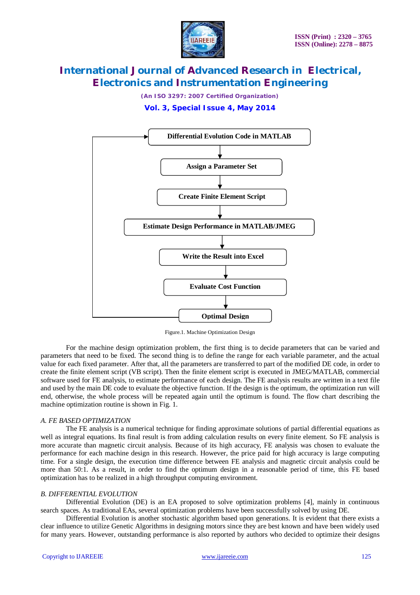

*(An ISO 3297: 2007 Certified Organization)*

**Vol. 3, Special Issue 4, May 2014**



Figure.1. Machine Optimization Design

For the machine design optimization problem, the first thing is to decide parameters that can be varied and parameters that need to be fixed. The second thing is to define the range for each variable parameter, and the actual value for each fixed parameter. After that, all the parameters are transferred to part of the modified DE code, in order to create the finite element script (VB script). Then the finite element script is executed in JMEG/MATLAB, commercial software used for FE analysis, to estimate performance of each design. The FE analysis results are written in a text file and used by the main DE code to evaluate the objective function. If the design is the optimum, the optimization run will end, otherwise, the whole process will be repeated again until the optimum is found. The flow chart describing the machine optimization routine is shown in Fig. 1.

### *A. FE BASED OPTIMIZATION*

The FE analysis is a numerical technique for finding approximate solutions of partial differential equations as well as integral equations. Its final result is from adding calculation results on every finite element. So FE analysis is more accurate than magnetic circuit analysis. Because of its high accuracy, FE analysis was chosen to evaluate the performance for each machine design in this research. However, the price paid for high accuracy is large computing time. For a single design, the execution time difference between FE analysis and magnetic circuit analysis could be more than 50:1. As a result, in order to find the optimum design in a reasonable period of time, this FE based optimization has to be realized in a high throughput computing environment.

### *B. DIFFERENTIAL EVOLUTION*

Differential Evolution (DE) is an EA proposed to solve optimization problems [4], mainly in continuous search spaces. As traditional EAs, several optimization problems have been successfully solved by using DE.

Differential Evolution is another stochastic algorithm based upon generations. It is evident that there exists a clear influence to utilize Genetic Algorithms in designing motors since they are best known and have been widely used for many years. However, outstanding performance is also reported by authors who decided to optimize their designs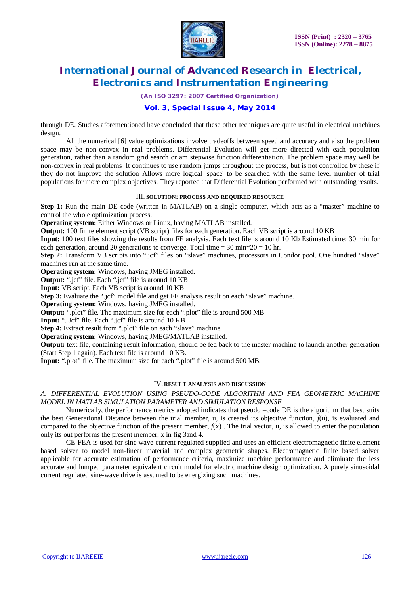

*(An ISO 3297: 2007 Certified Organization)*

## **Vol. 3, Special Issue 4, May 2014**

through DE. Studies aforementioned have concluded that these other techniques are quite useful in electrical machines design.

All the numerical [6] value optimizations involve tradeoffs between speed and accuracy and also the problem space may be non-convex in real problems. Differential Evolution will get more directed with each population generation, rather than a random grid search or am stepwise function differentiation. The problem space may well be non-convex in real problems It continues to use random jumps throughout the process, but is not controlled by these if they do not improve the solution Allows more logical 'space' to be searched with the same level number of trial populations for more complex objectives. They reported that Differential Evolution performed with outstanding results.

## III. **SOLUTION: PROCESS AND REQUIRED RESOURCE**

**Step 1:** Run the main DE code (written in MATLAB) on a single computer, which acts as a "master" machine to control the whole optimization process.

**Operating system:** Either Windows or Linux, having MATLAB installed.

**Output:** 100 finite element script (VB script) files for each generation. Each VB script is around 10 KB

**Input:** 100 text files showing the results from FE analysis. Each text file is around 10 Kb Estimated time: 30 min for each generation, around 20 generations to converge. Total time =  $30 \text{ min} * 20 = 10 \text{ hr}$ .

**Step 2:** Transform VB scripts into ".jcf" files on "slave" machines, processors in Condor pool. One hundred "slave" machines run at the same time.

**Operating system:** Windows, having JMEG installed.

**Output:** ".jcf" file. Each ".jcf" file is around 10 KB

**Input:** VB script. Each VB script is around 10 KB

**Step 3:** Evaluate the ".jcf" model file and get FE analysis result on each "slave" machine.

**Operating system:** Windows, having JMEG installed.

**Output:** ".plot" file. The maximum size for each ".plot" file is around 500 MB

**Input:** ". Jcf" file. Each ".jcf" file is around 10 KB

**Step 4:** Extract result from ".plot" file on each "slave" machine.

**Operating system:** Windows, having JMEG/MATLAB installed.

**Output:** text file, containing result information, should be fed back to the master machine to launch another generation (Start Step 1 again). Each text file is around 10 KB.

**Input:** ".plot" file. The maximum size for each ".plot" file is around 500 MB.

## IV. **RESULT ANALYSIS AND DISCUSSION**

*A. DIFFERENTIAL EVOLUTION USING PSEUDO-CODE ALGORITHM AND FEA GEOMETRIC MACHINE MODEL IN MATLAB SIMULATION PARAMETER AND SIMULATION RESPONSE*

Numerically, the performance metrics adopted indicates that pseudo –code DE is the algorithm that best suits the best Generational Distance between the trial member, u, is created its objective function,  $f(u)$ , is evaluated and compared to the objective function of the present member,  $f(x)$ . The trial vector, u, is allowed to enter the population only its out performs the present member, x in fig 3and 4.

CE-FEA is used for sine wave current regulated supplied and uses an efficient electromagnetic finite element based solver to model non-linear material and complex geometric shapes. Electromagnetic finite based solver applicable for accurate estimation of performance criteria, maximize machine performance and eliminate the less accurate and lumped parameter equivalent circuit model for electric machine design optimization. A purely sinusoidal current regulated sine-wave drive is assumed to be energizing such machines.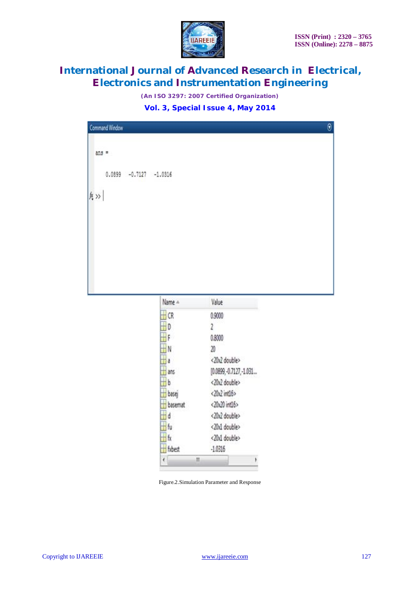

*(An ISO 3297: 2007 Certified Organization)*

**Vol. 3, Special Issue 4, May 2014**

| Command Window            | $\Theta$ |
|---------------------------|----------|
| $ans =$                   |          |
| $0.0899 - 0.7127 -1.0316$ |          |
| $ f;\rangle\rangle$       |          |
|                           |          |
|                           |          |
|                           |          |

| Name A  | Value<br>0.9000<br>2<br>0.8000<br>20                                                        |  |  |  |  |  |  |  |
|---------|---------------------------------------------------------------------------------------------|--|--|--|--|--|--|--|
| CR.     |                                                                                             |  |  |  |  |  |  |  |
| D       |                                                                                             |  |  |  |  |  |  |  |
| F.      |                                                                                             |  |  |  |  |  |  |  |
| N       |                                                                                             |  |  |  |  |  |  |  |
| a       | <20x2 double><br>(0.0899, -0.7127, -1.031<br><20x2 double><br><20x2 int16><br><20x20 int16> |  |  |  |  |  |  |  |
| ans     |                                                                                             |  |  |  |  |  |  |  |
| ь       |                                                                                             |  |  |  |  |  |  |  |
| basej   |                                                                                             |  |  |  |  |  |  |  |
| basemat |                                                                                             |  |  |  |  |  |  |  |
| d       | <20x2 double>                                                                               |  |  |  |  |  |  |  |
| fu      | <20x1 double>                                                                               |  |  |  |  |  |  |  |
| fx      | <20x1 double>                                                                               |  |  |  |  |  |  |  |
| fxbest  | $-1.0316$                                                                                   |  |  |  |  |  |  |  |
| ł       | Ш                                                                                           |  |  |  |  |  |  |  |

Figure.2.Simulation Parameter and Response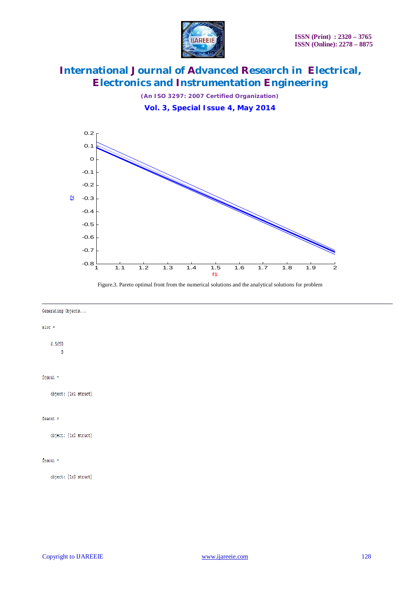

*(An ISO 3297: 2007 Certified Organization)*

**Vol. 3, Special Issue 4, May 2014**



Figure.3. Pareto optimal front from the numerical solutions and the analytical solutions for problem

#### Generating Objects...

#### $slot =$

6.5650  $\overline{\mathbf{0}}$ 

## $f$ eaout =

object: [1x1 struct]

### feaout  $=$

object: [1x2 struct]

### $f$ eaout =

object: [1x3 struct]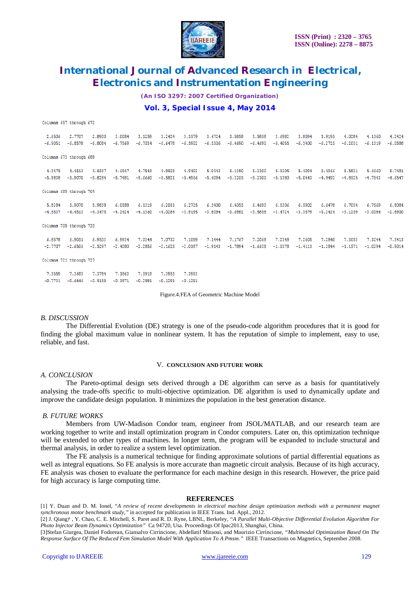

*(An ISO 3297: 2007 Certified Organization)*

### **Vol. 3, Special Issue 4, May 2014**

Columns 657 through 672

| 2.6506<br>$-6.9051$ | 2.7707<br>$-6.8578$     | 2,8900<br>$-6,8084$ | 3,0084<br>$-6.7569$ | 3.1259<br>$-6.7034$ | 3.2424<br>$-6.6478$ | 3.3579<br>$-6.5902$ | 3.4724<br>$-6.5306$ | 3,5858<br>$-6,4690$ | 3,5858<br>$-6.4690$ | 3.6982<br>$-6.4055$ | 3,8094<br>$-6,3400$ | 3.9195<br>$-6.2725$ | 4.0284<br>$-6.2031$ | 4.1360<br>$-6.1319$ | 4.2424<br>$-6.0588$ |
|---------------------|-------------------------|---------------------|---------------------|---------------------|---------------------|---------------------|---------------------|---------------------|---------------------|---------------------|---------------------|---------------------|---------------------|---------------------|---------------------|
|                     | Columns 673 through 688 |                     |                     |                     |                     |                     |                     |                     |                     |                     |                     |                     |                     |                     |                     |
| 4.3475              | 4.4513                  | 4.5537              | 4.6547              | 4.7543              | 4.8525              | 4.9492              | 5.0443              | 5,1380              | 5.2300              | 5.3205              | 5,4094              | 5.4966              | 5.5821              | 5,6660              | 5.7481              |
| $-5.9838$           | $-5,9070$               | $-5,8284$           | $-5.7481$           | $-5.6660$           | $-5.5821$           | $-5.4966$           | $-5.4094$           | $-5,3205$           | $-5.2300$           | $-5,1380$           | $-5.0443$           | $-4.9492$           | $-4.8525$           | $-4.7543$           | $-4.6547$           |
|                     | Columns 689 through 704 |                     |                     |                     |                     |                     |                     |                     |                     |                     |                     |                     |                     |                     |                     |
| 5.8284              | 5.9070                  | 5,9838              | 6.0588              | 6.1319              | 6.2031              | 6.2725              | 6.3400              | 6.4055              | 6.4690              | 6.5306              | 6.5902              | 6.6478              | 6.7034              | 6.7569              | 6.8084              |
| $-4.5537$           | $-4.4513$               | $-4.3475$           | $-4.2424$           | $-4.1360$           | $-4.0284$           | $-3.9195$           | $-3.8094$           | $-3.6982$           | $-3.5858$           | $-3.4724$           | $-3.3579$           | $-3.2424$           | $-3.1259$           | $-3.0084$           | $-2.8900$           |
|                     | Columns 705 through 720 |                     |                     |                     |                     |                     |                     |                     |                     |                     |                     |                     |                     |                     |                     |
| 6.8578              | 6.9051                  | 6,9503              | 6.9934              | 7.0344              | 7.0732              | 7.1099              | 7.1444              | 7.1767              | 7.2068              | 7.2348              | 7,2605              | 7.2840              | 7.3053              | 7.3244              | 7.3413              |
| $-2.7707$           | $-2.6506$               | $-2.5297$           | $-2.4080$           | $-2,2856$           | $-2,1625$           | $-2.0387$           | $-1.9143$           | $-1,7894$           | $-1.6638$           | $-1.5378$           | $-1.4113$           | $-1.2844$           | $-1.1571$           | $-1.0294$           | $-0.9014$           |
|                     | Columns 721 through 727 |                     |                     |                     |                     |                     |                     |                     |                     |                     |                     |                     |                     |                     |                     |
| <b>BACCO</b>        | n araa                  | <b>B</b> ABOA       | <b>B</b> abra       | .                   | m anna.             | n anna              |                     |                     |                     |                     |                     |                     |                     |                     |                     |

7.3953 7.3559 7.3683 7.3784 7.3863 7.3919 7.3953  $-0.7731$   $-0.6446$   $-0.5159$   $-0.3871$   $-0.2581$   $-0.1291$   $-0.1291$ 

Figure.4.FEA of Geometric Machine Model

#### *B. DISCUSSION*

The Differential Evolution (DE) strategy is one of the pseudo-code algorithm procedures that it is good for finding the global maximum value in nonlinear system. It has the reputation of simple to implement, easy to use, reliable, and fast.

#### V. **CONCLUSION AND FUTURE WORK**

#### *A. CONCLUSION*

The Pareto-optimal design sets derived through a DE algorithm can serve as a basis for quantitatively analysing the trade-offs specific to multi-objective optimization. DE algorithm is used to dynamically update and improve the candidate design population. It minimizes the population in the best generation distance.

### *B. FUTURE WORKS*

Members from UW-Madison Condor team, engineer from JSOL/MATLAB, and our research team are working together to write and install optimization program in Condor computers. Later on, this optimization technique will be extended to other types of machines. In longer term, the program will be expanded to include structural and thermal analysis, in order to realize a system level optimization.

The FE analysis is a numerical technique for finding approximate solutions of partial differential equations as well as integral equations. So FE analysis is more accurate than magnetic circuit analysis. Because of its high accuracy, FE analysis was chosen to evaluate the performance for each machine design in this research. However, the price paid for high accuracy is large computing time.

#### **REFERENCES**

[1] Y. Duan and D. M. Ionel, "*A review of recent developments in electrical machine design optimization methods with a permanent magnet synchronous motor benchmark study,"* in accepted for publication in IEEE Trans. Ind. Appl., 2012.

[2] J. Qiang*†* , Y. Chao, C. E. Mitchell, S. Paret and R. D. Ryne, LBNL, Berkeley, *"A Parallel Multi-Objective Differential Evolution Algorithm For Photo Injector Beam Dynamics Optimization"* Ca 94720, Usa. Proceedings Of Ipac2013, Shanghai, China.

[3]Stefan Giurgea, Daniel Fodorean, Giansalvo Cirrincione, Abdellatif Miraoui, and Maurizio Cirrincione, *"Multimodal Optimization Based On The Response Surface Of The Reduced Fem Simulation Model With Application To A Pmsm."* IEEE Transactions on Magnetics, September 2008.